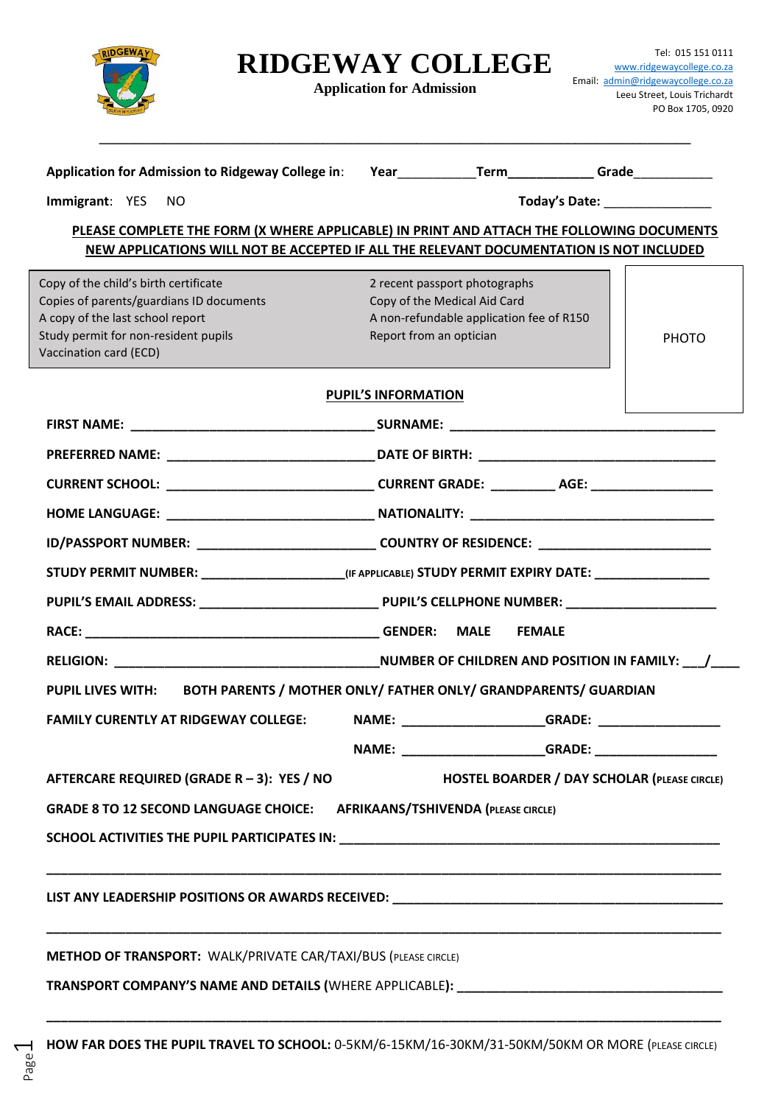

Page

## **RIDGEWAY COLLEGE**

**Application for Admission**

| Application for Admission to Ridgeway College in: Year___________________________________Grade_______________                                                                        |                                                                     |              |
|--------------------------------------------------------------------------------------------------------------------------------------------------------------------------------------|---------------------------------------------------------------------|--------------|
| Immigrant: YES<br>NO.                                                                                                                                                                | Today's Date: National Product of Product of Product 2012           |              |
|                                                                                                                                                                                      |                                                                     |              |
| PLEASE COMPLETE THE FORM (X WHERE APPLICABLE) IN PRINT AND ATTACH THE FOLLOWING DOCUMENTS<br>NEW APPLICATIONS WILL NOT BE ACCEPTED IF ALL THE RELEVANT DOCUMENTATION IS NOT INCLUDED |                                                                     |              |
|                                                                                                                                                                                      |                                                                     |              |
| Copy of the child's birth certificate                                                                                                                                                | 2 recent passport photographs                                       |              |
| Copies of parents/guardians ID documents                                                                                                                                             | Copy of the Medical Aid Card                                        |              |
| A copy of the last school report<br>Study permit for non-resident pupils                                                                                                             | A non-refundable application fee of R150<br>Report from an optician |              |
| Vaccination card (ECD)                                                                                                                                                               |                                                                     | <b>PHOTO</b> |
|                                                                                                                                                                                      | <b>PUPIL'S INFORMATION</b>                                          |              |
|                                                                                                                                                                                      |                                                                     |              |
|                                                                                                                                                                                      |                                                                     |              |
| CURRENT SCHOOL: _________________________________CURRENT GRADE: ___________ AGE: __________________                                                                                  |                                                                     |              |
|                                                                                                                                                                                      |                                                                     |              |
| ID/PASSPORT NUMBER: _________________________________COUNTRY OF RESIDENCE: ________________________                                                                                  |                                                                     |              |
| STUDY PERMIT NUMBER: _____________________(IF APPLICABLE) STUDY PERMIT EXPIRY DATE: _______________                                                                                  |                                                                     |              |
|                                                                                                                                                                                      |                                                                     |              |
|                                                                                                                                                                                      |                                                                     |              |
|                                                                                                                                                                                      |                                                                     |              |
| PUPIL LIVES WITH: BOTH PARENTS / MOTHER ONLY/ FATHER ONLY/ GRANDPARENTS/ GUARDIAN                                                                                                    |                                                                     |              |
| FAMILY CURENTLY AT RIDGEWAY COLLEGE: NAME:                                                                                                                                           |                                                                     |              |
|                                                                                                                                                                                      |                                                                     |              |
| AFTERCARE REQUIRED (GRADE R - 3): YES / NO                                                                                                                                           | <b>HOSTEL BOARDER / DAY SCHOLAR (PLEASE CIRCLE)</b>                 |              |
| <b>GRADE 8 TO 12 SECOND LANGUAGE CHOICE: AFRIKAANS/TSHIVENDA (PLEASE CIRCLE)</b>                                                                                                     |                                                                     |              |
|                                                                                                                                                                                      |                                                                     |              |
|                                                                                                                                                                                      |                                                                     |              |
| METHOD OF TRANSPORT: WALK/PRIVATE CAR/TAXI/BUS (PLEASE CIRCLE)                                                                                                                       |                                                                     |              |
| TRANSPORT COMPANY'S NAME AND DETAILS (WHERE APPLICABLE): _______________________________                                                                                             |                                                                     |              |

**\_\_\_\_\_\_\_\_\_\_\_\_\_\_\_\_\_\_\_\_\_\_\_\_\_\_\_\_\_\_\_\_\_\_\_\_\_\_\_\_\_\_\_\_\_\_\_\_\_\_\_\_\_\_\_\_\_\_\_\_\_\_\_\_\_\_\_\_\_\_\_\_\_\_\_\_\_\_\_\_\_\_\_\_\_\_\_\_\_\_\_\_\_\_**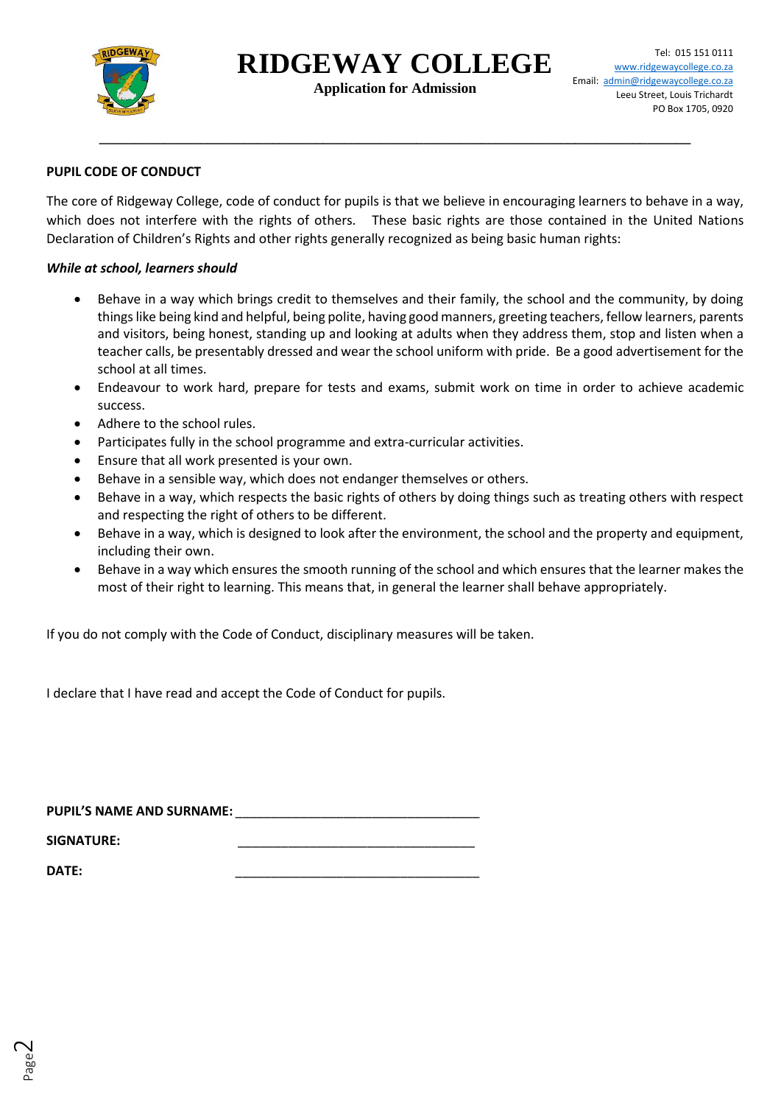

**Application for Admission**

**\_\_\_\_\_\_\_\_\_\_\_\_\_\_\_\_\_\_\_\_\_\_\_\_\_\_\_\_\_\_\_\_\_\_\_\_\_\_\_\_\_\_\_\_\_\_\_\_\_\_\_\_\_\_\_\_\_\_\_\_\_\_\_\_\_\_\_\_\_\_\_\_\_\_\_\_\_\_\_\_\_\_**

### **PUPIL CODE OF CONDUCT**

The core of Ridgeway College, code of conduct for pupils is that we believe in encouraging learners to behave in a way, which does not interfere with the rights of others. These basic rights are those contained in the United Nations Declaration of Children's Rights and other rights generally recognized as being basic human rights:

#### *While at school, learners should*

- Behave in a way which brings credit to themselves and their family, the school and the community, by doing things like being kind and helpful, being polite, having good manners, greeting teachers, fellow learners, parents and visitors, being honest, standing up and looking at adults when they address them, stop and listen when a teacher calls, be presentably dressed and wear the school uniform with pride. Be a good advertisement for the school at all times.
- Endeavour to work hard, prepare for tests and exams, submit work on time in order to achieve academic success.
- Adhere to the school rules.
- Participates fully in the school programme and extra-curricular activities.
- Ensure that all work presented is your own.
- Behave in a sensible way, which does not endanger themselves or others.
- Behave in a way, which respects the basic rights of others by doing things such as treating others with respect and respecting the right of others to be different.
- Behave in a way, which is designed to look after the environment, the school and the property and equipment, including their own.
- Behave in a way which ensures the smooth running of the school and which ensures that the learner makes the most of their right to learning. This means that, in general the learner shall behave appropriately.

If you do not comply with the Code of Conduct, disciplinary measures will be taken.

I declare that I have read and accept the Code of Conduct for pupils.

PUPIL'S NAME AND SURNAME:

 $SIGNATURE:$ 

**DATE:** \_\_\_\_\_\_\_\_\_\_\_\_\_\_\_\_\_\_\_\_\_\_\_\_\_\_\_\_\_\_\_\_\_\_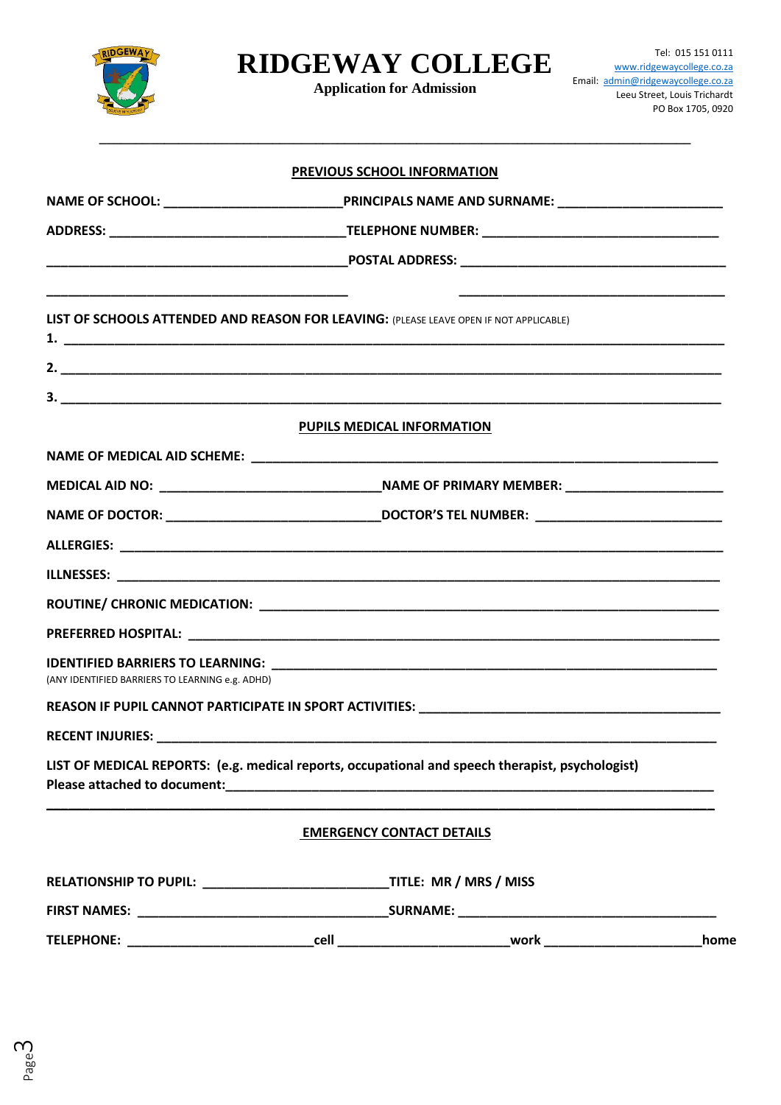

**Application for Admission**

**\_\_\_\_\_\_\_\_\_\_\_\_\_\_\_\_\_\_\_\_\_\_\_\_\_\_\_\_\_\_\_\_\_\_\_\_\_\_\_\_\_\_\_\_\_\_\_\_\_\_\_\_\_\_\_\_\_\_\_\_\_\_\_\_\_\_\_\_\_\_\_\_\_\_\_\_\_\_\_\_\_\_**

|                                                                                                                                                                                                                                |                                                                                                                                                                                                                                     | PREVIOUS SCHOOL INFORMATION                                                                      |      |
|--------------------------------------------------------------------------------------------------------------------------------------------------------------------------------------------------------------------------------|-------------------------------------------------------------------------------------------------------------------------------------------------------------------------------------------------------------------------------------|--------------------------------------------------------------------------------------------------|------|
|                                                                                                                                                                                                                                |                                                                                                                                                                                                                                     |                                                                                                  |      |
|                                                                                                                                                                                                                                |                                                                                                                                                                                                                                     |                                                                                                  |      |
|                                                                                                                                                                                                                                |                                                                                                                                                                                                                                     |                                                                                                  |      |
|                                                                                                                                                                                                                                |                                                                                                                                                                                                                                     | LIST OF SCHOOLS ATTENDED AND REASON FOR LEAVING: (PLEASE LEAVE OPEN IF NOT APPLICABLE)           |      |
|                                                                                                                                                                                                                                |                                                                                                                                                                                                                                     |                                                                                                  |      |
|                                                                                                                                                                                                                                |                                                                                                                                                                                                                                     |                                                                                                  |      |
|                                                                                                                                                                                                                                |                                                                                                                                                                                                                                     | PUPILS MEDICAL INFORMATION                                                                       |      |
|                                                                                                                                                                                                                                |                                                                                                                                                                                                                                     |                                                                                                  |      |
|                                                                                                                                                                                                                                |                                                                                                                                                                                                                                     |                                                                                                  |      |
|                                                                                                                                                                                                                                |                                                                                                                                                                                                                                     |                                                                                                  |      |
|                                                                                                                                                                                                                                |                                                                                                                                                                                                                                     |                                                                                                  |      |
|                                                                                                                                                                                                                                |                                                                                                                                                                                                                                     |                                                                                                  |      |
|                                                                                                                                                                                                                                |                                                                                                                                                                                                                                     |                                                                                                  |      |
|                                                                                                                                                                                                                                |                                                                                                                                                                                                                                     |                                                                                                  |      |
| (ANY IDENTIFIED BARRIERS TO LEARNING e.g. ADHD)                                                                                                                                                                                |                                                                                                                                                                                                                                     |                                                                                                  |      |
|                                                                                                                                                                                                                                |                                                                                                                                                                                                                                     |                                                                                                  |      |
| <b>RECENT INJURIES:</b>                                                                                                                                                                                                        |                                                                                                                                                                                                                                     |                                                                                                  |      |
| Please attached to document: National Contract of the contract of the contract of the contract of the contract of the contract of the contract of the contract of the contract of the contract of the contract of the contract |                                                                                                                                                                                                                                     | LIST OF MEDICAL REPORTS: (e.g. medical reports, occupational and speech therapist, psychologist) |      |
|                                                                                                                                                                                                                                |                                                                                                                                                                                                                                     | <b>EMERGENCY CONTACT DETAILS</b>                                                                 |      |
|                                                                                                                                                                                                                                |                                                                                                                                                                                                                                     |                                                                                                  |      |
|                                                                                                                                                                                                                                |                                                                                                                                                                                                                                     |                                                                                                  |      |
| TELEPHONE: TELEPHONE:                                                                                                                                                                                                          | <b>cell</b> the contract of the contract of the contract of the contract of the contract of the contract of the contract of the contract of the contract of the contract of the contract of the contract of the contract of the con | _____________________work ___                                                                    | home |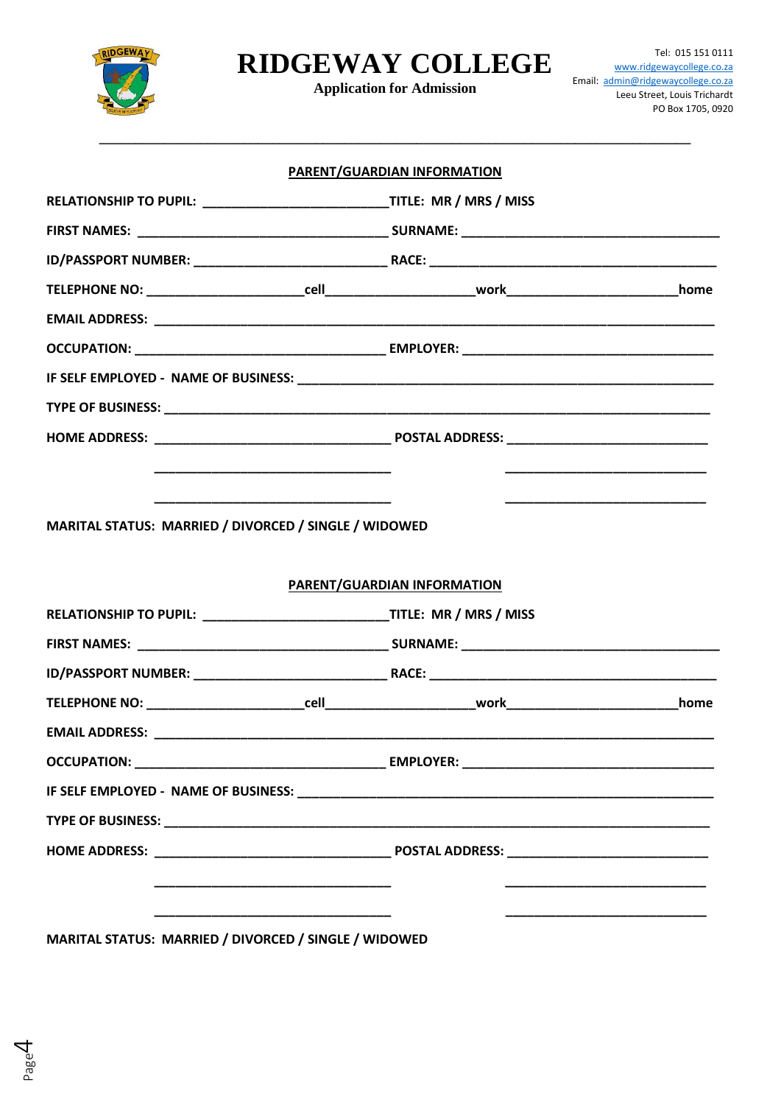

**Application for Admission** 

|                                                                                | <b>PARENT/GUARDIAN INFORMATION</b> |  |
|--------------------------------------------------------------------------------|------------------------------------|--|
| RELATIONSHIP TO PUPIL: _________________________________TITLE: MR / MRS / MISS |                                    |  |
|                                                                                |                                    |  |
|                                                                                |                                    |  |
|                                                                                |                                    |  |
|                                                                                |                                    |  |
|                                                                                |                                    |  |
|                                                                                |                                    |  |
|                                                                                |                                    |  |
|                                                                                |                                    |  |
|                                                                                |                                    |  |
|                                                                                |                                    |  |
| MARITAL STATUS: MARRIED / DIVORCED / SINGLE / WIDOWED                          |                                    |  |
|                                                                                |                                    |  |
|                                                                                | PARENT/GUARDIAN INFORMATION        |  |
|                                                                                |                                    |  |
|                                                                                |                                    |  |
|                                                                                |                                    |  |
|                                                                                |                                    |  |
|                                                                                |                                    |  |
|                                                                                |                                    |  |
|                                                                                |                                    |  |
|                                                                                |                                    |  |
|                                                                                |                                    |  |
|                                                                                |                                    |  |
|                                                                                |                                    |  |
| MARITAL STATUS: MARRIED / DIVORCED / SINGLE / WIDOWED                          |                                    |  |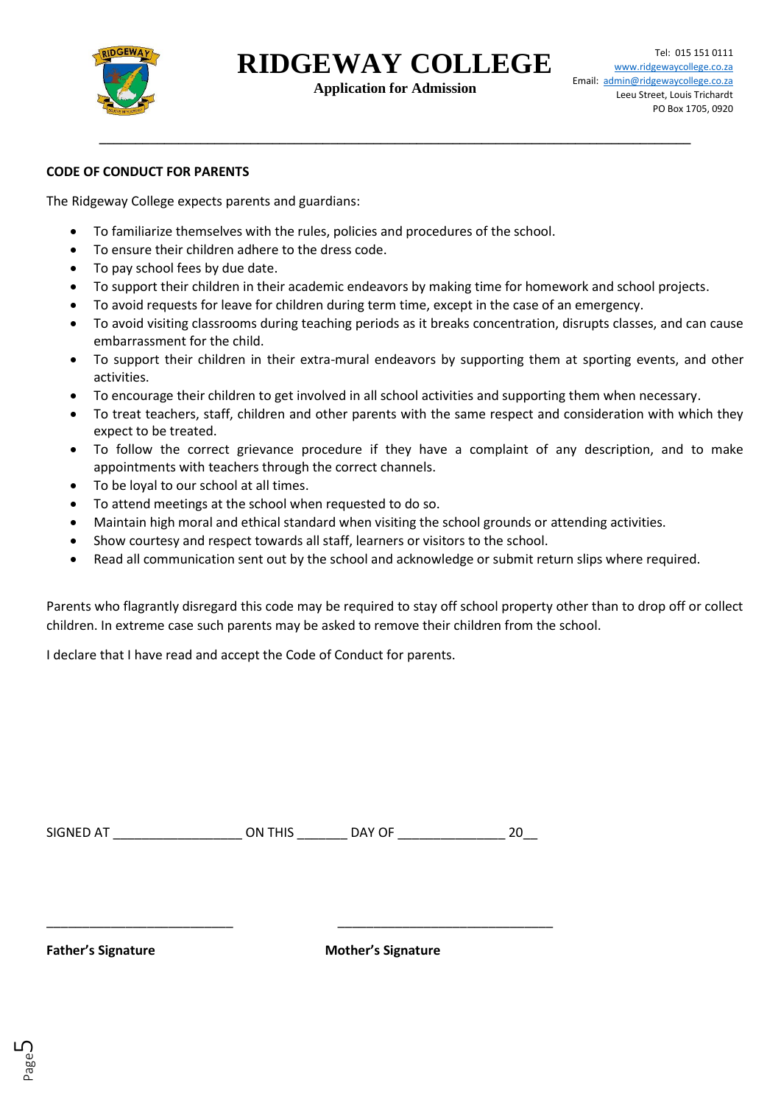

**Application for Admission**

**\_\_\_\_\_\_\_\_\_\_\_\_\_\_\_\_\_\_\_\_\_\_\_\_\_\_\_\_\_\_\_\_\_\_\_\_\_\_\_\_\_\_\_\_\_\_\_\_\_\_\_\_\_\_\_\_\_\_\_\_\_\_\_\_\_\_\_\_\_\_\_\_\_\_\_\_\_\_\_\_\_\_**

### **CODE OF CONDUCT FOR PARENTS**

The Ridgeway College expects parents and guardians:

- To familiarize themselves with the rules, policies and procedures of the school.
- To ensure their children adhere to the dress code.
- To pay school fees by due date.
- To support their children in their academic endeavors by making time for homework and school projects.
- To avoid requests for leave for children during term time, except in the case of an emergency.
- To avoid visiting classrooms during teaching periods as it breaks concentration, disrupts classes, and can cause embarrassment for the child.
- To support their children in their extra-mural endeavors by supporting them at sporting events, and other activities.
- To encourage their children to get involved in all school activities and supporting them when necessary.
- To treat teachers, staff, children and other parents with the same respect and consideration with which they expect to be treated.
- To follow the correct grievance procedure if they have a complaint of any description, and to make appointments with teachers through the correct channels.
- To be loyal to our school at all times.
- To attend meetings at the school when requested to do so.
- Maintain high moral and ethical standard when visiting the school grounds or attending activities.
- Show courtesy and respect towards all staff, learners or visitors to the school.
- Read all communication sent out by the school and acknowledge or submit return slips where required.

Parents who flagrantly disregard this code may be required to stay off school property other than to drop off or collect children. In extreme case such parents may be asked to remove their children from the school.

I declare that I have read and accept the Code of Conduct for parents.

| <b>SIGNED AT</b> | ON THIS | JAY OF |  |
|------------------|---------|--------|--|
|                  |         |        |  |

\_\_\_\_\_\_\_\_\_\_\_\_\_\_\_\_\_\_\_\_\_\_\_\_\_\_ \_\_\_\_\_\_\_\_\_\_\_\_\_\_\_\_\_\_\_\_\_\_\_\_\_\_\_\_\_\_

Page ഥ

**Father's Signature Mother's Signature**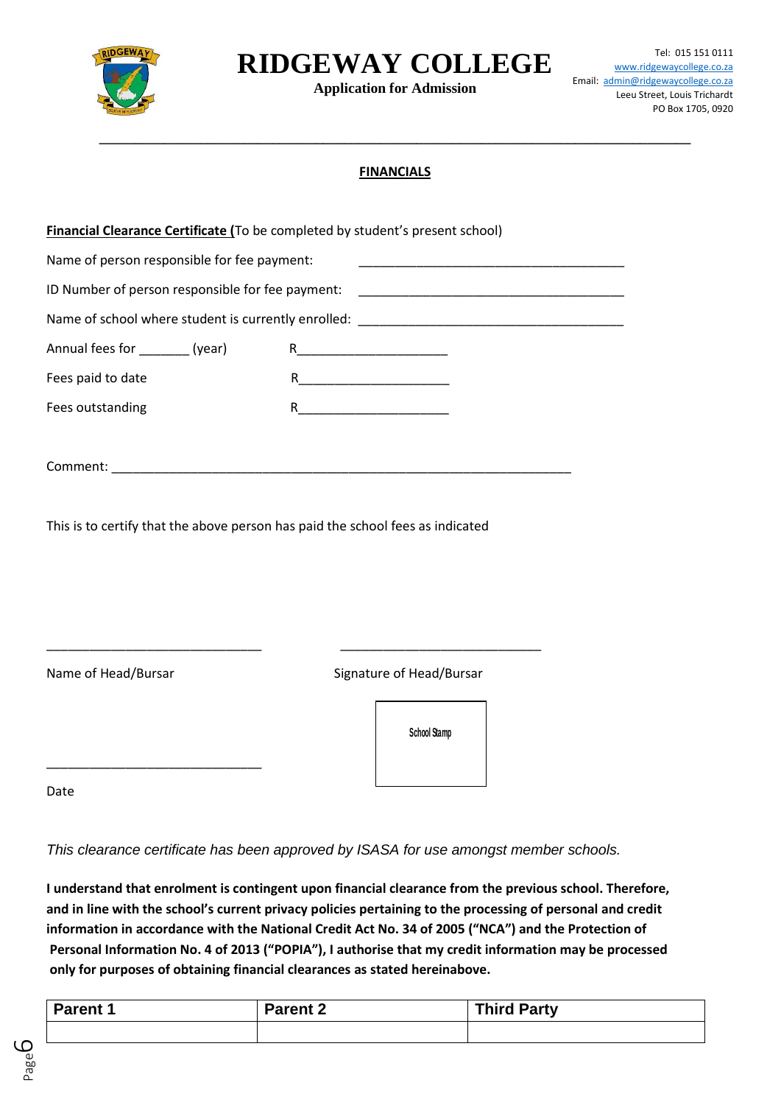

**Application for Admission**

### **FINANCIALS**

**\_\_\_\_\_\_\_\_\_\_\_\_\_\_\_\_\_\_\_\_\_\_\_\_\_\_\_\_\_\_\_\_\_\_\_\_\_\_\_\_\_\_\_\_\_\_\_\_\_\_\_\_\_\_\_\_\_\_\_\_\_\_\_\_\_\_\_\_\_\_\_\_\_\_\_\_\_\_\_\_\_\_**

| <b>Financial Clearance Certificate (To be completed by student's present school)</b> |                                                                                           |
|--------------------------------------------------------------------------------------|-------------------------------------------------------------------------------------------|
| Name of person responsible for fee payment:                                          | the control of the control of the control of the control of the control of the control of |
| ID Number of person responsible for fee payment:                                     |                                                                                           |
|                                                                                      |                                                                                           |
| Annual fees for _________ (year)                                                     |                                                                                           |
| Fees paid to date                                                                    | $R_{\text{}}$                                                                             |
| Fees outstanding                                                                     | $R_{\text{}}$                                                                             |
|                                                                                      |                                                                                           |
|                                                                                      |                                                                                           |
|                                                                                      |                                                                                           |
| This is to certify that the above person has paid the school fees as indicated       |                                                                                           |
|                                                                                      |                                                                                           |
|                                                                                      |                                                                                           |
|                                                                                      |                                                                                           |
|                                                                                      |                                                                                           |
| Name of Head/Bursar                                                                  | Signature of Head/Bursar                                                                  |
|                                                                                      |                                                                                           |
|                                                                                      | School Stamp                                                                              |
|                                                                                      |                                                                                           |
| Date                                                                                 |                                                                                           |

*This clearance certificate has been approved by ISASA for use amongst member schools.* 

**I understand that enrolment is contingent upon financial clearance from the previous school. Therefore, and in line with the school's current privacy policies pertaining to the processing of personal and credit information in accordance with the National Credit Act No. 34 of 2005 ("NCA") and the Protection of Personal Information No. 4 of 2013 ("POPIA"), I authorise that my credit information may be processed only for purposes of obtaining financial clearances as stated hereinabove.**

| <b>Parent 1</b> | <b>Parent 2</b> | <b>Third Party</b> |
|-----------------|-----------------|--------------------|
|                 |                 |                    |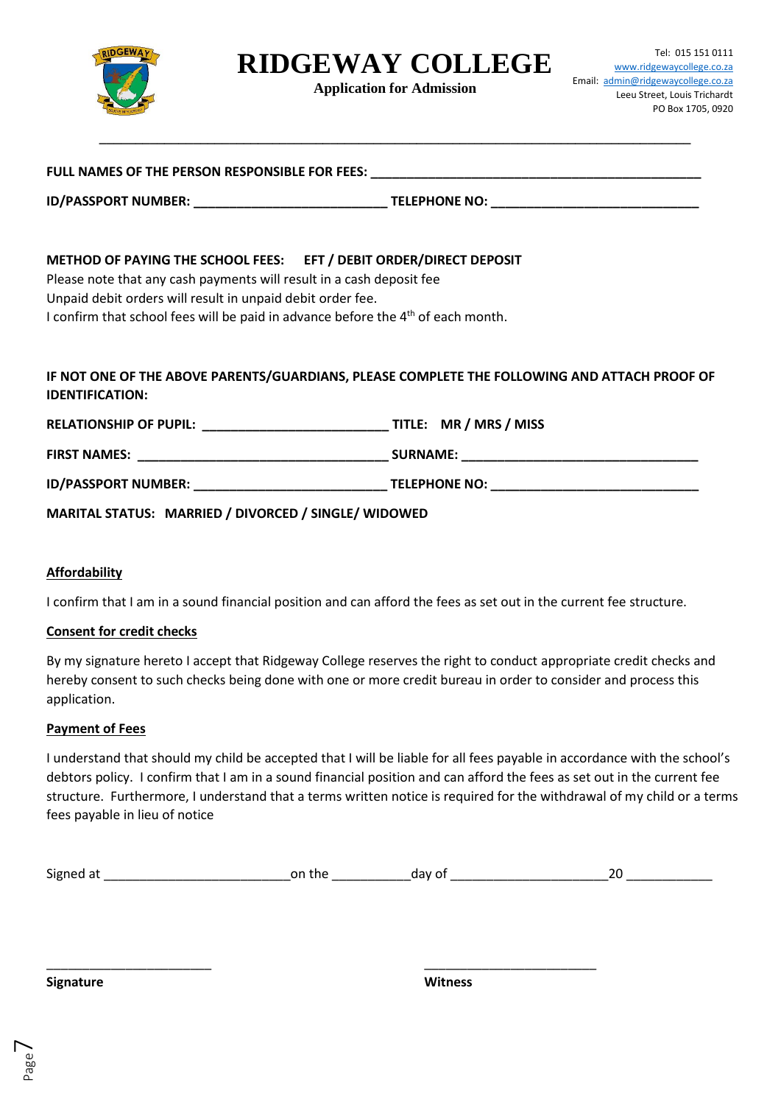

**Application for Admission**

| FULL NAMES OF THE PERSON RESPONSIBLE FOR FEES: |                      |
|------------------------------------------------|----------------------|
| <b>ID/PASSPORT NUMBER:</b>                     | <b>TELEPHONE NO:</b> |

### **METHOD OF PAYING THE SCHOOL FEES: EFT / DEBIT ORDER/DIRECT DEPOSIT**

Please note that any cash payments will result in a cash deposit fee

Unpaid debit orders will result in unpaid debit order fee.

I confirm that school fees will be paid in advance before the 4<sup>th</sup> of each month.

## **IF NOT ONE OF THE ABOVE PARENTS/GUARDIANS, PLEASE COMPLETE THE FOLLOWING AND ATTACH PROOF OF IDENTIFICATION:**

| <b>RELATIONSHIP OF PUPIL:</b> | TITLE: MR / MRS / MISS |
|-------------------------------|------------------------|
| <b>FIRST NAMES:</b>           | <b>SURNAME:</b>        |
| <b>ID/PASSPORT NUMBER:</b>    | <b>TELEPHONE NO:</b>   |

**MARITAL STATUS: MARRIED / DIVORCED / SINGLE/ WIDOWED**

#### **Affordability**

I confirm that I am in a sound financial position and can afford the fees as set out in the current fee structure.

#### **Consent for credit checks**

By my signature hereto I accept that Ridgeway College reserves the right to conduct appropriate credit checks and hereby consent to such checks being done with one or more credit bureau in order to consider and process this application.

#### **Payment of Fees**

I understand that should my child be accepted that I will be liable for all fees payable in accordance with the school's debtors policy. I confirm that I am in a sound financial position and can afford the fees as set out in the current fee structure. Furthermore, I understand that a terms written notice is required for the withdrawal of my child or a terms fees payable in lieu of notice

|  | $\sim$<br>Sig | nn<br>+n<br>$\Omega$ |  |  |
|--|---------------|----------------------|--|--|
|--|---------------|----------------------|--|--|

\_\_\_\_\_\_\_\_\_\_\_\_\_\_\_\_\_\_\_\_\_\_\_ \_\_\_\_\_\_\_\_\_\_\_\_\_\_\_\_\_\_\_\_\_\_\_\_

**Signature Witness**

Page  $\overline{\phantom{1}}$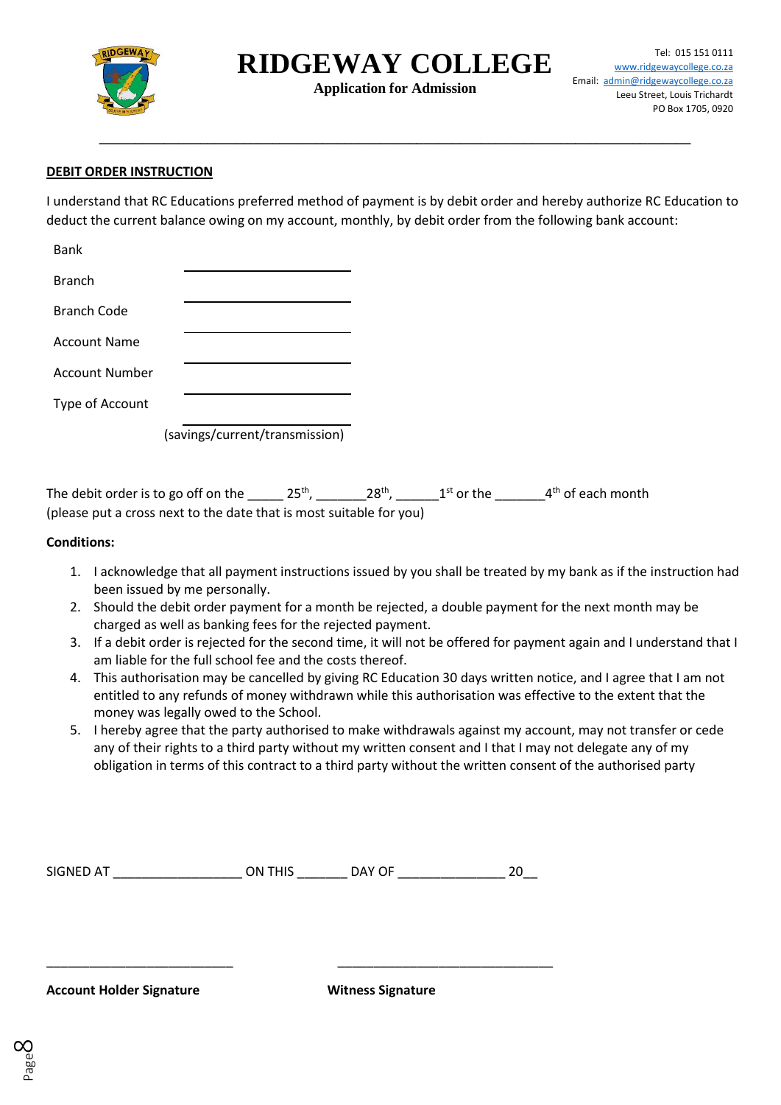

**Application for Admission**

**\_\_\_\_\_\_\_\_\_\_\_\_\_\_\_\_\_\_\_\_\_\_\_\_\_\_\_\_\_\_\_\_\_\_\_\_\_\_\_\_\_\_\_\_\_\_\_\_\_\_\_\_\_\_\_\_\_\_\_\_\_\_\_\_\_\_\_\_\_\_\_\_\_\_\_\_\_\_\_\_\_\_**

### **DEBIT ORDER INSTRUCTION**

I understand that RC Educations preferred method of payment is by debit order and hereby authorize RC Education to deduct the current balance owing on my account, monthly, by debit order from the following bank account:

| <b>Bank</b>         |                                |
|---------------------|--------------------------------|
| <b>Branch</b>       |                                |
| Branch Code         |                                |
| <b>Account Name</b> |                                |
| Account Number      |                                |
| Type of Account     |                                |
|                     | (savings/current/transmission) |

The debit order is to go off on the \_\_\_\_\_ 25<sup>th</sup>, \_\_\_\_\_\_\_\_28<sup>th</sup>, \_\_\_\_\_\_\_1<sup>st</sup> or the \_\_\_\_\_\_\_\_4<sup>th</sup> of each month (please put a cross next to the date that is most suitable for you)

#### **Conditions:**

- 1. I acknowledge that all payment instructions issued by you shall be treated by my bank as if the instruction had been issued by me personally.
- 2. Should the debit order payment for a month be rejected, a double payment for the next month may be charged as well as banking fees for the rejected payment.
- 3. If a debit order is rejected for the second time, it will not be offered for payment again and I understand that I am liable for the full school fee and the costs thereof.
- 4. This authorisation may be cancelled by giving RC Education 30 days written notice, and I agree that I am not entitled to any refunds of money withdrawn while this authorisation was effective to the extent that the money was legally owed to the School.
- 5. I hereby agree that the party authorised to make withdrawals against my account, may not transfer or cede any of their rights to a third party without my written consent and I that I may not delegate any of my obligation in terms of this contract to a third party without the written consent of the authorised party

| SIGNED AT | ON THIS | JAY OF |  |
|-----------|---------|--------|--|
|-----------|---------|--------|--|

\_\_\_\_\_\_\_\_\_\_\_\_\_\_\_\_\_\_\_\_\_\_\_\_\_\_ \_\_\_\_\_\_\_\_\_\_\_\_\_\_\_\_\_\_\_\_\_\_\_\_\_\_\_\_\_\_

**Account Holder Signature Witness Signature**

Page  $\infty$